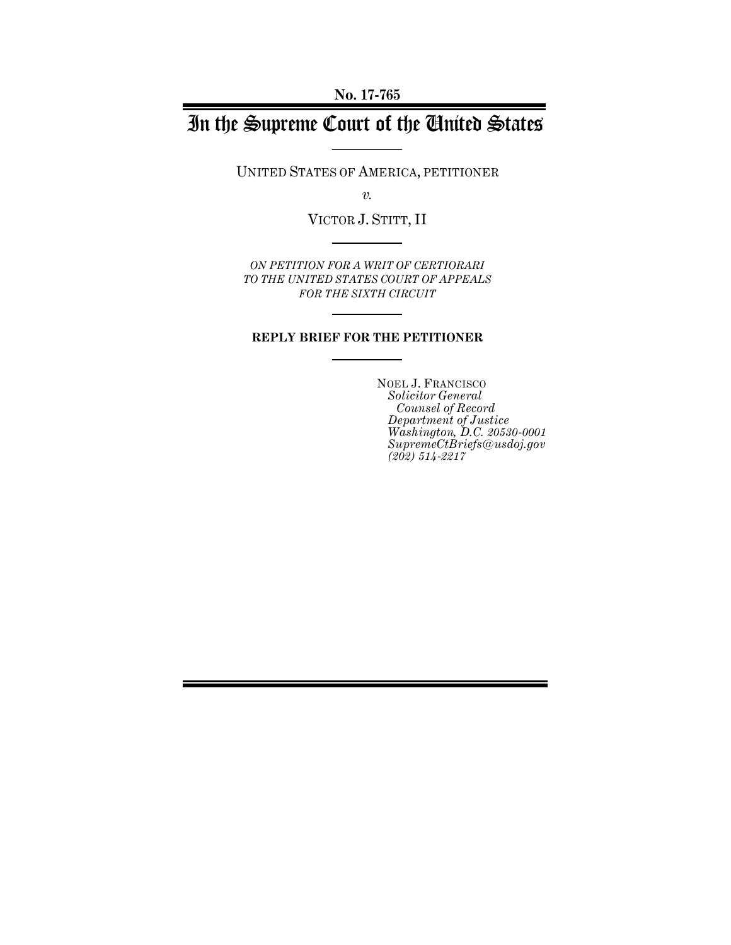**No. 17-765**

# In the Supreme Court of the United States

UNITED STATES OF AMERICA, PETITIONER

*v.*

VICTOR J. STITT, II

*ON PETITION FOR A WRIT OF CERTIORARI TO THE UNITED STATES COURT OF APPEALS FOR THE SIXTH CIRCUIT* 

#### **REPLY BRIEF FOR THE PETITIONER**

NOEL J. FRANCISCO *Solicitor General Counsel of Record Department of Justice Washington, D.C. 20530-0001 SupremeCtBriefs@usdoj.gov (202) 514-2217*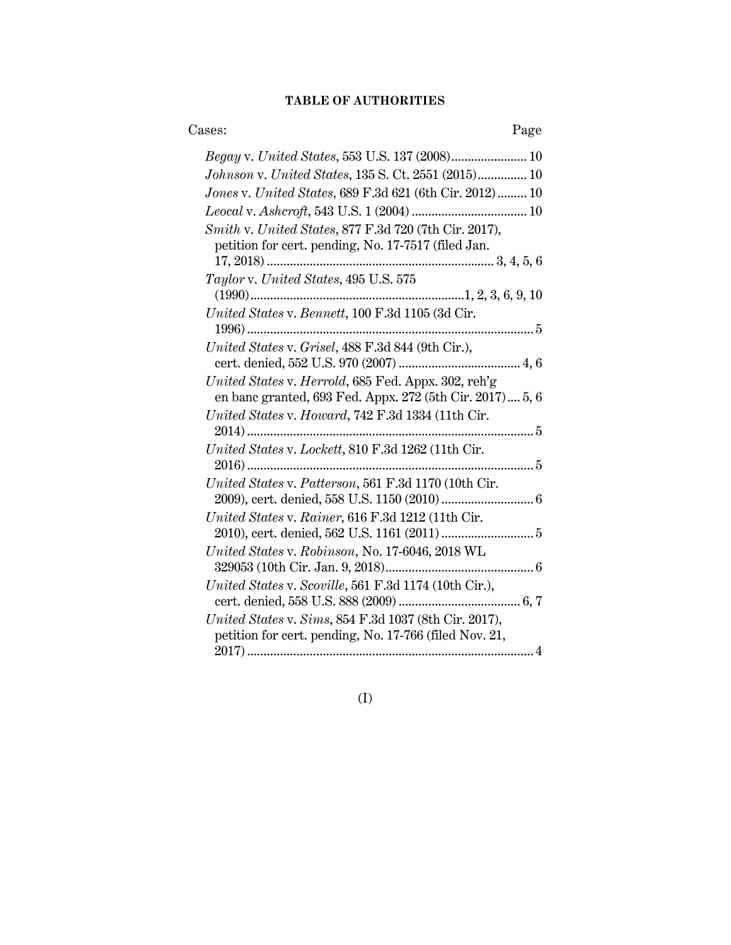#### **TABLE OF AUTHORITIES**

### Cases: Page

| Begay v. United States, 553 U.S. 137 (2008) 10                                                                  |
|-----------------------------------------------------------------------------------------------------------------|
| Johnson v. United States, 135 S. Ct. 2551 (2015) 10                                                             |
| Jones v. United States, 689 F.3d 621 (6th Cir. 2012) 10                                                         |
|                                                                                                                 |
| Smith v. United States, 877 F.3d 720 (7th Cir. 2017),<br>petition for cert. pending, No. 17-7517 (filed Jan.    |
| Taylor v. United States, 495 U.S. 575                                                                           |
|                                                                                                                 |
| United States v. Bennett, 100 F.3d 1105 (3d Cir.<br>5<br>$1996)$                                                |
| United States v. Grisel, 488 F.3d 844 (9th Cir.),                                                               |
| United States v. Herrold, 685 Fed. Appx. 302, reh'g<br>en banc granted, 693 Fed. Appx. 272 (5th Cir. 2017) 5, 6 |
| United States v. Howard, 742 F.3d 1334 (11th Cir.                                                               |
| United States v. Lockett, 810 F.3d 1262 (11th Cir.<br>$2016)$<br>. 5                                            |
| United States v. Patterson, 561 F.3d 1170 (10th Cir.                                                            |
| United States v. Rainer, 616 F.3d 1212 (11th Cir.                                                               |
| United States v. Robinson, No. 17-6046, 2018 WL                                                                 |
| United States v. Scoville, 561 F.3d 1174 (10th Cir.),                                                           |
| United States v. Sims, 854 F.3d 1037 (8th Cir. 2017),<br>petition for cert. pending, No. 17-766 (filed Nov. 21, |
|                                                                                                                 |

(I)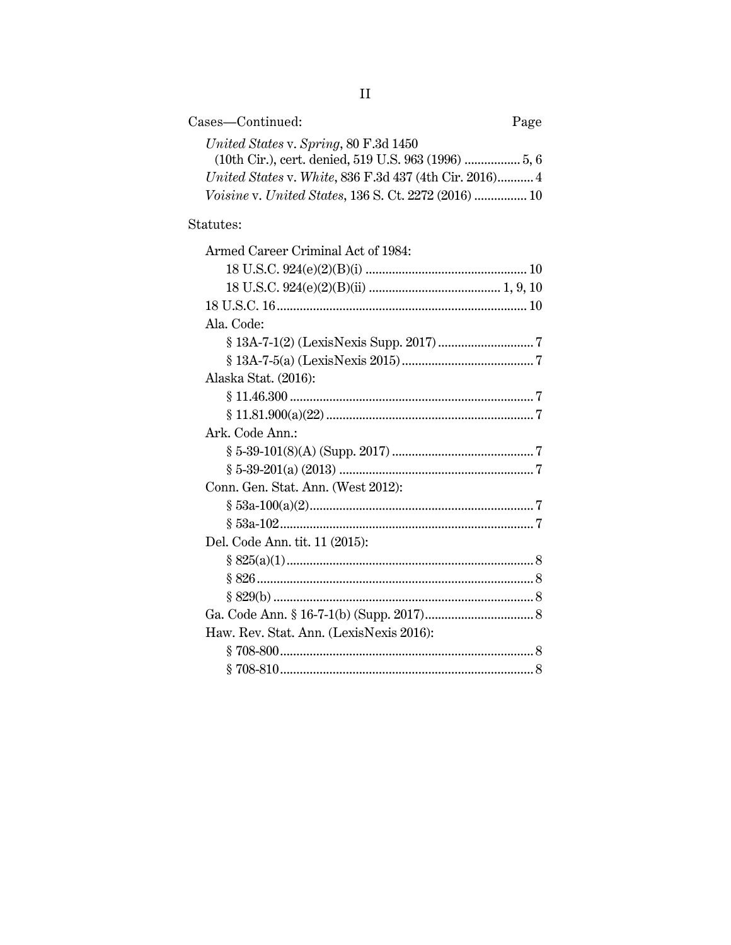| Cases—Continued:                                              | Page |
|---------------------------------------------------------------|------|
| United States v. Spring, 80 F.3d 1450                         |      |
|                                                               |      |
| <i>United States v. White, 836 F.3d 437 (4th Cir. 2016)</i> 4 |      |
| Voisine v. United States, 136 S. Ct. 2272 (2016)  10          |      |

### Statutes:

| Armed Career Criminal Act of 1984:      |  |
|-----------------------------------------|--|
|                                         |  |
|                                         |  |
|                                         |  |
| Ala. Code:                              |  |
|                                         |  |
|                                         |  |
| Alaska Stat. (2016):                    |  |
|                                         |  |
|                                         |  |
| Ark. Code Ann.:                         |  |
|                                         |  |
|                                         |  |
| Conn. Gen. Stat. Ann. (West 2012):      |  |
|                                         |  |
|                                         |  |
| Del. Code Ann. tit. 11 (2015):          |  |
|                                         |  |
|                                         |  |
|                                         |  |
|                                         |  |
| Haw. Rev. Stat. Ann. (LexisNexis 2016): |  |
|                                         |  |
|                                         |  |
|                                         |  |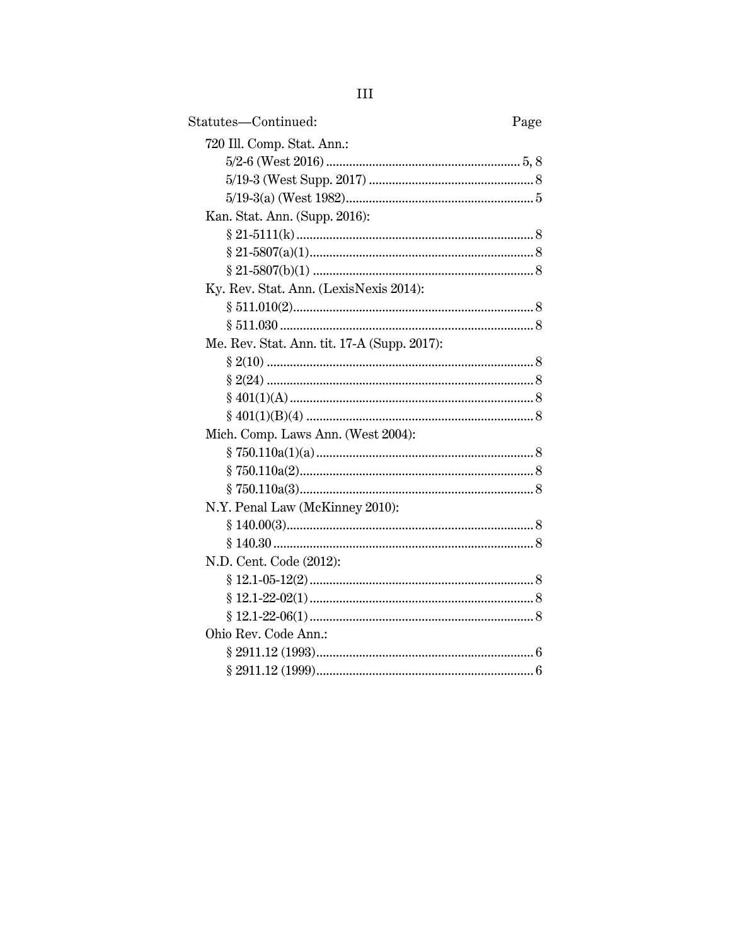| Statutes-Continued:                         | Page |
|---------------------------------------------|------|
| 720 Ill. Comp. Stat. Ann.:                  |      |
|                                             |      |
|                                             |      |
|                                             |      |
| Kan. Stat. Ann. (Supp. 2016):               |      |
|                                             |      |
|                                             |      |
|                                             |      |
| Ky. Rev. Stat. Ann. (LexisNexis 2014):      |      |
|                                             |      |
|                                             |      |
| Me. Rev. Stat. Ann. tit. 17-A (Supp. 2017): |      |
|                                             |      |
|                                             |      |
|                                             |      |
|                                             |      |
| Mich. Comp. Laws Ann. (West 2004):          |      |
|                                             |      |
|                                             |      |
|                                             |      |
| N.Y. Penal Law (McKinney 2010):             |      |
|                                             |      |
|                                             |      |
| N.D. Cent. Code (2012):                     |      |
|                                             |      |
|                                             |      |
|                                             |      |
| Ohio Rev. Code Ann.:                        |      |
|                                             |      |
|                                             |      |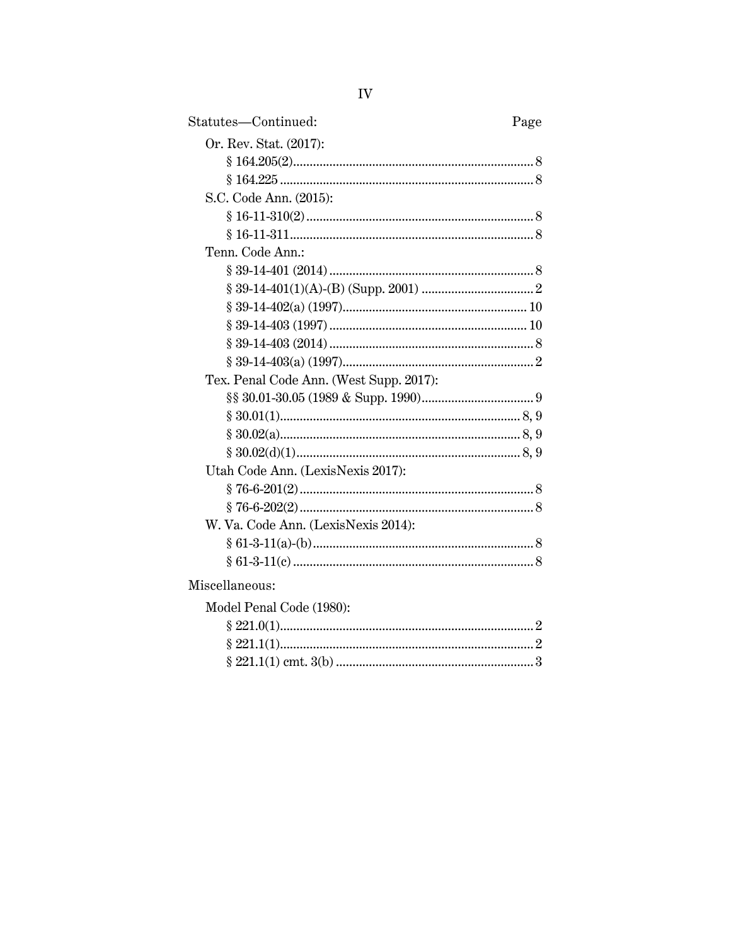| Statutes-Continued:                     | Page |
|-----------------------------------------|------|
| Or. Rev. Stat. (2017):                  |      |
|                                         |      |
|                                         |      |
| S.C. Code Ann. (2015):                  |      |
|                                         |      |
|                                         |      |
| Tenn. Code Ann.:                        |      |
|                                         |      |
|                                         |      |
|                                         |      |
|                                         |      |
|                                         |      |
|                                         |      |
| Tex. Penal Code Ann. (West Supp. 2017): |      |
|                                         |      |
|                                         |      |
|                                         |      |
|                                         |      |
| Utah Code Ann. (LexisNexis 2017):       |      |
|                                         |      |
|                                         |      |
| W. Va. Code Ann. (LexisNexis 2014):     |      |
|                                         |      |
|                                         |      |
| Miscellaneous:                          |      |
| Model Penal Code (1980):                |      |
|                                         |      |

| $100011$ charge $1000$ . |  |
|--------------------------|--|
|                          |  |
|                          |  |
|                          |  |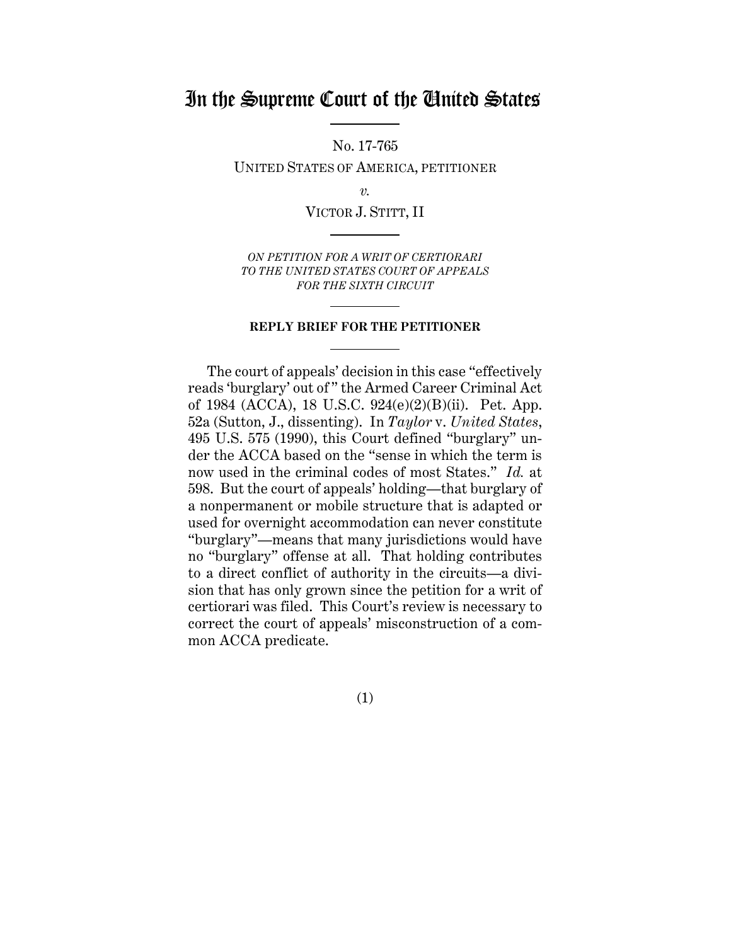## In the Supreme Court of the United States

No. 17-765

UNITED STATES OF AMERICA, PETITIONER

*v.*

VICTOR J. STITT, II

*ON PETITION FOR A WRIT OF CERTIORARI TO THE UNITED STATES COURT OF APPEALS FOR THE SIXTH CIRCUIT* 

#### **REPLY BRIEF FOR THE PETITIONER**

The court of appeals' decision in this case "effectively reads 'burglary' out of " the Armed Career Criminal Act of 1984 (ACCA), 18 U.S.C. 924(e)(2)(B)(ii). Pet. App. 52a (Sutton, J., dissenting). In *Taylor* v. *United States*, 495 U.S. 575 (1990), this Court defined "burglary" under the ACCA based on the "sense in which the term is now used in the criminal codes of most States." *Id.* at 598. But the court of appeals' holding—that burglary of a nonpermanent or mobile structure that is adapted or used for overnight accommodation can never constitute "burglary"—means that many jurisdictions would have no "burglary" offense at all. That holding contributes to a direct conflict of authority in the circuits—a division that has only grown since the petition for a writ of certiorari was filed. This Court's review is necessary to correct the court of appeals' misconstruction of a common ACCA predicate.

(1)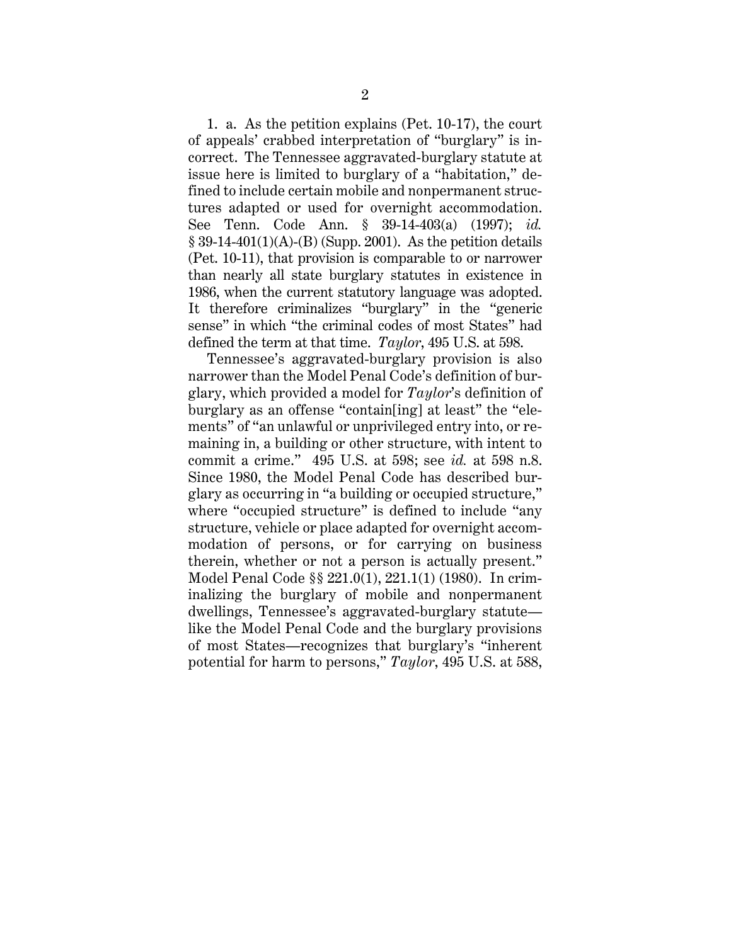1. a. As the petition explains (Pet. 10-17), the court of appeals' crabbed interpretation of "burglary" is incorrect. The Tennessee aggravated-burglary statute at issue here is limited to burglary of a "habitation," defined to include certain mobile and nonpermanent structures adapted or used for overnight accommodation. See Tenn. Code Ann. § 39-14-403(a) (1997); *id.*  $\S 39-14-401(1)(A)$ -(B) (Supp. 2001). As the petition details (Pet. 10-11), that provision is comparable to or narrower than nearly all state burglary statutes in existence in 1986, when the current statutory language was adopted. It therefore criminalizes "burglary" in the "generic sense" in which "the criminal codes of most States" had defined the term at that time. *Taylor*, 495 U.S. at 598.

Tennessee's aggravated-burglary provision is also narrower than the Model Penal Code's definition of burglary, which provided a model for *Taylor*'s definition of burglary as an offense "contain[ing] at least" the "elements" of "an unlawful or unprivileged entry into, or remaining in, a building or other structure, with intent to commit a crime." 495 U.S. at 598; see *id.* at 598 n.8. Since 1980, the Model Penal Code has described burglary as occurring in "a building or occupied structure," where "occupied structure" is defined to include "any structure, vehicle or place adapted for overnight accommodation of persons, or for carrying on business therein, whether or not a person is actually present." Model Penal Code §§ 221.0(1), 221.1(1) (1980). In criminalizing the burglary of mobile and nonpermanent dwellings, Tennessee's aggravated-burglary statute like the Model Penal Code and the burglary provisions of most States—recognizes that burglary's "inherent potential for harm to persons," *Taylor*, 495 U.S. at 588,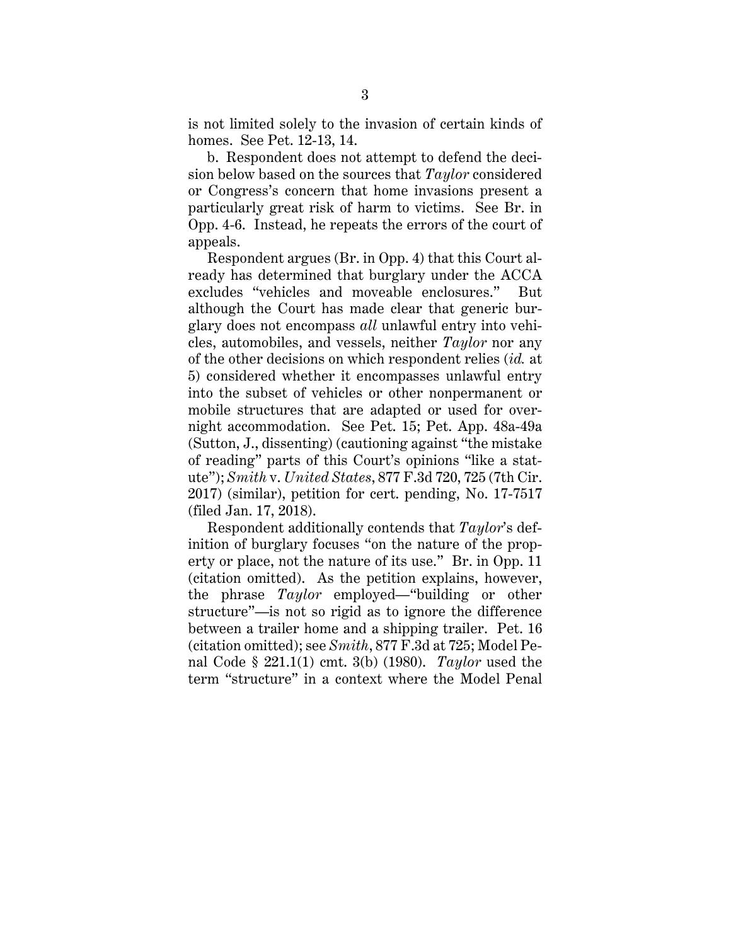is not limited solely to the invasion of certain kinds of homes. See Pet. 12-13, 14.

b. Respondent does not attempt to defend the decision below based on the sources that *Taylor* considered or Congress's concern that home invasions present a particularly great risk of harm to victims. See Br. in Opp. 4-6. Instead, he repeats the errors of the court of appeals.

Respondent argues (Br. in Opp. 4) that this Court already has determined that burglary under the ACCA excludes "vehicles and moveable enclosures." But although the Court has made clear that generic burglary does not encompass *all* unlawful entry into vehicles, automobiles, and vessels, neither *Taylor* nor any of the other decisions on which respondent relies (*id.* at 5) considered whether it encompasses unlawful entry into the subset of vehicles or other nonpermanent or mobile structures that are adapted or used for overnight accommodation. See Pet. 15; Pet. App. 48a-49a (Sutton, J., dissenting) (cautioning against "the mistake of reading" parts of this Court's opinions "like a statute"); *Smith* v. *United States*, 877 F.3d 720, 725 (7th Cir. 2017) (similar), petition for cert. pending, No. 17-7517 (filed Jan. 17, 2018).

Respondent additionally contends that *Taylor*'s definition of burglary focuses "on the nature of the property or place, not the nature of its use." Br. in Opp. 11 (citation omitted). As the petition explains, however, the phrase *Taylor* employed*—*"building or other structure"—is not so rigid as to ignore the difference between a trailer home and a shipping trailer. Pet. 16 (citation omitted); see *Smith*, 877 F.3d at 725; Model Penal Code § 221.1(1) cmt. 3(b) (1980). *Taylor* used the term "structure" in a context where the Model Penal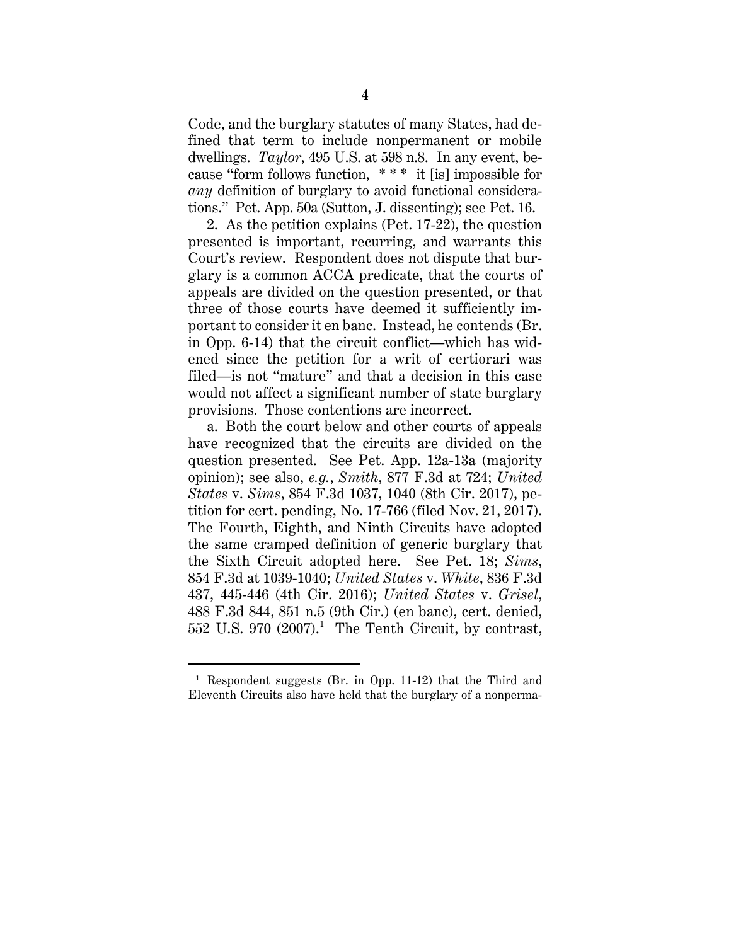Code, and the burglary statutes of many States, had defined that term to include nonpermanent or mobile dwellings. *Taylor*, 495 U.S. at 598 n.8. In any event, because "form follows function, \* \* \* it [is] impossible for *any* definition of burglary to avoid functional considerations." Pet. App. 50a (Sutton, J. dissenting); see Pet. 16.

2. As the petition explains (Pet. 17-22), the question presented is important, recurring, and warrants this Court's review. Respondent does not dispute that burglary is a common ACCA predicate, that the courts of appeals are divided on the question presented, or that three of those courts have deemed it sufficiently important to consider it en banc. Instead, he contends (Br. in Opp. 6-14) that the circuit conflict—which has widened since the petition for a writ of certiorari was filed—is not "mature" and that a decision in this case would not affect a significant number of state burglary provisions. Those contentions are incorrect.

a. Both the court below and other courts of appeals have recognized that the circuits are divided on the question presented. See Pet. App. 12a-13a (majority opinion); see also, *e.g.*, *Smith*, 877 F.3d at 724; *United States* v. *Sims*, 854 F.3d 1037, 1040 (8th Cir. 2017), petition for cert. pending, No. 17-766 (filed Nov. 21, 2017). The Fourth, Eighth, and Ninth Circuits have adopted the same cramped definition of generic burglary that the Sixth Circuit adopted here. See Pet. 18; *Sims*, 854 F.3d at 1039-1040; *United States* v. *White*, 836 F.3d 437, 445-446 (4th Cir. 2016); *United States* v. *Grisel*, 488 F.3d 844, 851 n.5 (9th Cir.) (en banc), cert. denied,  $552$  U.S.  $970$   $(2007).<sup>1</sup>$  The Tenth Circuit, by contrast,

<sup>1</sup> Respondent suggests (Br. in Opp. 11-12) that the Third and Eleventh Circuits also have held that the burglary of a nonperma-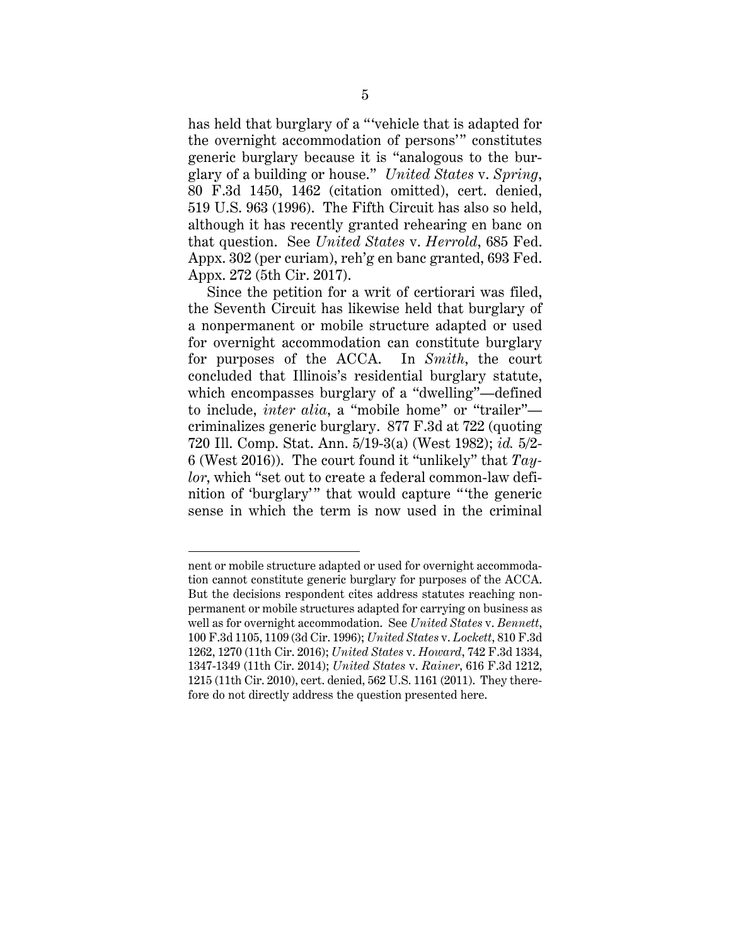has held that burglary of a "vehicle that is adapted for the overnight accommodation of persons'" constitutes generic burglary because it is "analogous to the burglary of a building or house." *United States* v. *Spring*, 80 F.3d 1450, 1462 (citation omitted), cert. denied, 519 U.S. 963 (1996). The Fifth Circuit has also so held, although it has recently granted rehearing en banc on that question. See *United States* v. *Herrold*, 685 Fed. Appx. 302 (per curiam), reh'g en banc granted, 693 Fed. Appx. 272 (5th Cir. 2017).

Since the petition for a writ of certiorari was filed, the Seventh Circuit has likewise held that burglary of a nonpermanent or mobile structure adapted or used for overnight accommodation can constitute burglary for purposes of the ACCA. In *Smith*, the court concluded that Illinois's residential burglary statute, which encompasses burglary of a "dwelling"—defined to include, *inter alia*, a "mobile home" or "trailer" criminalizes generic burglary. 877 F.3d at 722 (quoting 720 Ill. Comp. Stat. Ann. 5/19-3(a) (West 1982); *id.* 5/2- 6 (West 2016)). The court found it "unlikely" that *Taylor*, which "set out to create a federal common-law definition of 'burglary'" that would capture "the generic sense in which the term is now used in the criminal

nent or mobile structure adapted or used for overnight accommodation cannot constitute generic burglary for purposes of the ACCA. But the decisions respondent cites address statutes reaching nonpermanent or mobile structures adapted for carrying on business as well as for overnight accommodation. See *United States* v. *Bennett*, 100 F.3d 1105, 1109 (3d Cir. 1996); *United States* v. *Lockett*, 810 F.3d 1262, 1270 (11th Cir. 2016); *United States* v. *Howard*, 742 F.3d 1334, 1347-1349 (11th Cir. 2014); *United States* v. *Rainer*, 616 F.3d 1212, 1215 (11th Cir. 2010), cert. denied, 562 U.S. 1161 (2011). They therefore do not directly address the question presented here.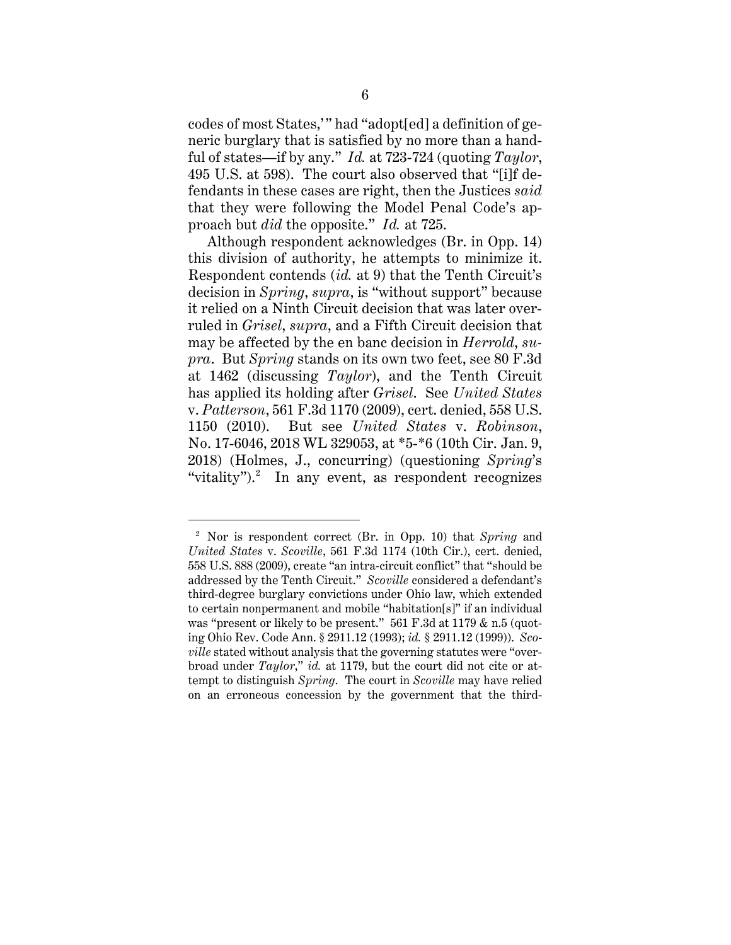codes of most States,' " had "adopt[ed] a definition of generic burglary that is satisfied by no more than a handful of states—if by any." *Id.* at 723-724 (quoting *Taylor*, 495 U.S. at 598). The court also observed that "[i]f defendants in these cases are right, then the Justices *said*  that they were following the Model Penal Code's approach but *did* the opposite." *Id.* at 725.

Although respondent acknowledges (Br. in Opp. 14) this division of authority, he attempts to minimize it. Respondent contends (*id.* at 9) that the Tenth Circuit's decision in *Spring*, *supra*, is "without support" because it relied on a Ninth Circuit decision that was later overruled in *Grisel*, *supra*, and a Fifth Circuit decision that may be affected by the en banc decision in *Herrold*, *supra*. But *Spring* stands on its own two feet, see 80 F.3d at 1462 (discussing *Taylor*), and the Tenth Circuit has applied its holding after *Grisel*. See *United States*  v. *Patterson*, 561 F.3d 1170 (2009), cert. denied, 558 U.S. 1150 (2010). But see *United States* v. *Robinson*, No. 17-6046, 2018 WL 329053, at \*5-\*6 (10th Cir. Jan. 9, 2018) (Holmes, J., concurring) (questioning *Spring*'s "vitality").<sup>2</sup> In any event, as respondent recognizes

<sup>2</sup> Nor is respondent correct (Br. in Opp. 10) that *Spring* and *United States* v. *Scoville*, 561 F.3d 1174 (10th Cir.), cert. denied, 558 U.S. 888 (2009), create "an intra-circuit conflict" that "should be addressed by the Tenth Circuit." *Scoville* considered a defendant's third-degree burglary convictions under Ohio law, which extended to certain nonpermanent and mobile "habitation[s]" if an individual was "present or likely to be present." 561 F.3d at 1179 & n.5 (quoting Ohio Rev. Code Ann. § 2911.12 (1993); *id.* § 2911.12 (1999)). *Scoville* stated without analysis that the governing statutes were "overbroad under *Taylor*," *id.* at 1179, but the court did not cite or attempt to distinguish *Spring*. The court in *Scoville* may have relied on an erroneous concession by the government that the third-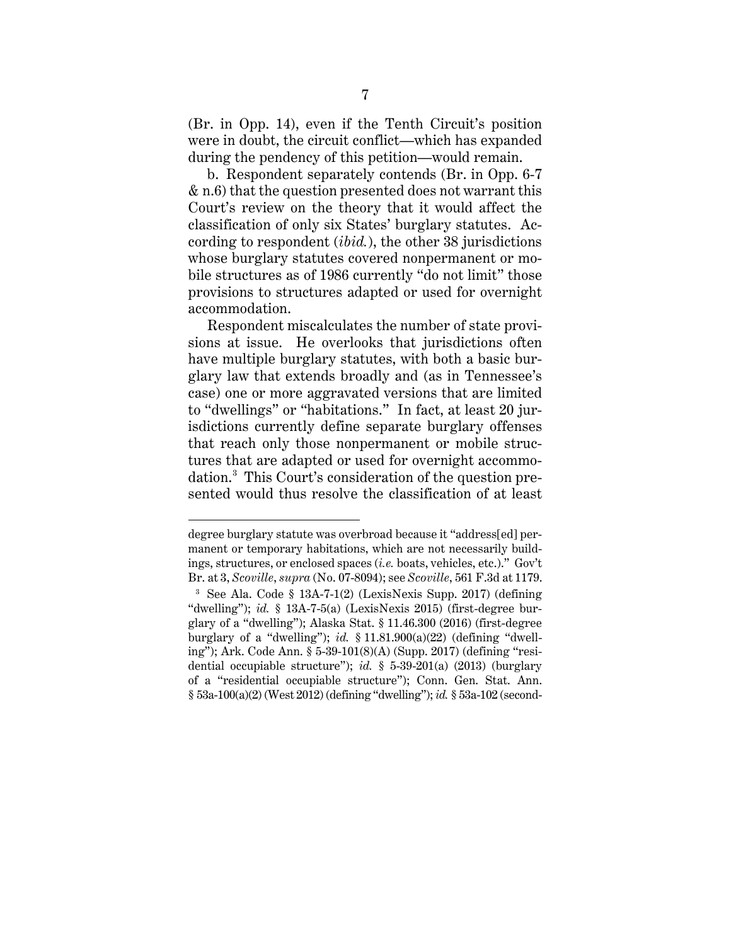(Br. in Opp. 14), even if the Tenth Circuit's position were in doubt, the circuit conflict—which has expanded during the pendency of this petition—would remain.

b. Respondent separately contends (Br. in Opp. 6-7 & n.6) that the question presented does not warrant this Court's review on the theory that it would affect the classification of only six States' burglary statutes. According to respondent (*ibid.*), the other 38 jurisdictions whose burglary statutes covered nonpermanent or mobile structures as of 1986 currently "do not limit" those provisions to structures adapted or used for overnight accommodation.

Respondent miscalculates the number of state provisions at issue. He overlooks that jurisdictions often have multiple burglary statutes, with both a basic burglary law that extends broadly and (as in Tennessee's case) one or more aggravated versions that are limited to "dwellings" or "habitations." In fact, at least 20 jurisdictions currently define separate burglary offenses that reach only those nonpermanent or mobile structures that are adapted or used for overnight accommodation. 3 This Court's consideration of the question presented would thus resolve the classification of at least

degree burglary statute was overbroad because it "address[ed] permanent or temporary habitations, which are not necessarily buildings, structures, or enclosed spaces (*i.e.* boats, vehicles, etc.)." Gov't Br. at 3, *Scoville*, *supra* (No. 07-8094); see *Scoville*, 561 F.3d at 1179.

<sup>3</sup> See Ala. Code § 13A-7-1(2) (LexisNexis Supp. 2017) (defining "dwelling"); *id.* § 13A-7-5(a) (LexisNexis 2015) (first-degree burglary of a "dwelling"); Alaska Stat. § 11.46.300 (2016) (first-degree burglary of a "dwelling"); *id.* § 11.81.900(a)(22) (defining "dwelling"); Ark. Code Ann. § 5-39-101(8)(A) (Supp. 2017) (defining "residential occupiable structure"); *id.* § 5-39-201(a) (2013) (burglary of a "residential occupiable structure"); Conn. Gen. Stat. Ann. § 53a-100(a)(2) (West 2012) (defining "dwelling"); *id.* § 53a-102 (second-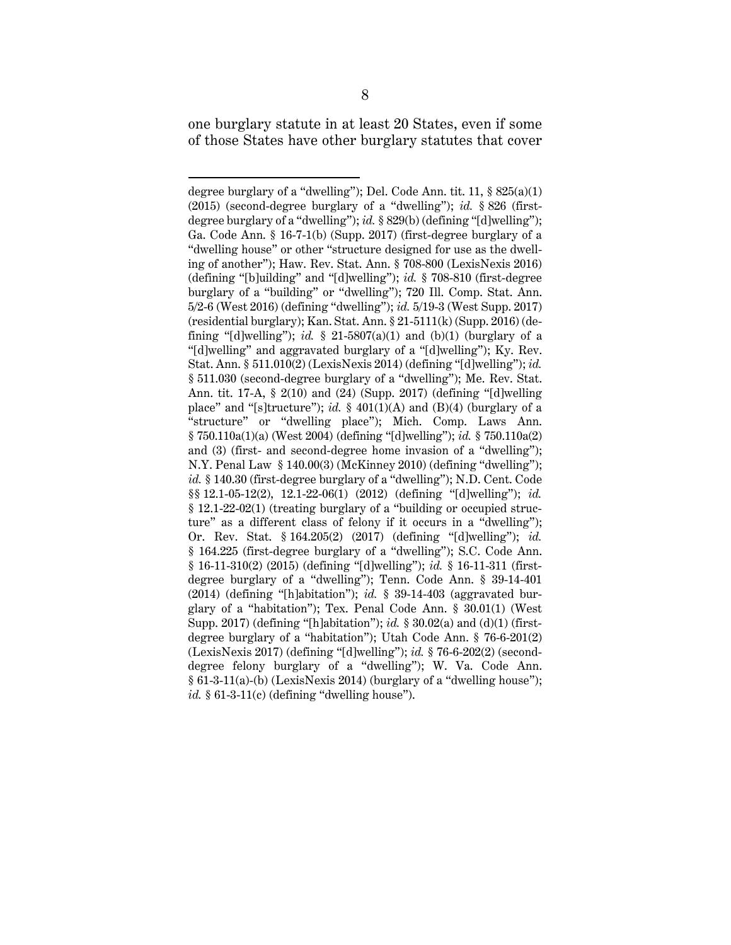one burglary statute in at least 20 States, even if some of those States have other burglary statutes that cover

degree burglary of a "dwelling"); Del. Code Ann. tit. 11,  $\S 825(a)(1)$ (2015) (second-degree burglary of a "dwelling"); *id.* § 826 (firstdegree burglary of a "dwelling"); *id.* § 829(b) (defining "[d]welling"); Ga. Code Ann. § 16-7-1(b) (Supp. 2017) (first-degree burglary of a "dwelling house" or other "structure designed for use as the dwelling of another"); Haw. Rev. Stat. Ann. § 708-800 (LexisNexis 2016) (defining "[b]uilding" and "[d]welling"); *id.* § 708-810 (first-degree burglary of a "building" or "dwelling"); 720 Ill. Comp. Stat. Ann. 5/2-6 (West 2016) (defining "dwelling"); *id.* 5/19-3 (West Supp. 2017) (residential burglary); Kan. Stat. Ann. § 21-5111(k) (Supp. 2016) (defining "[d]welling"); *id.*  $\S$  21-5807(a)(1) and (b)(1) (burglary of a "[d]welling" and aggravated burglary of a "[d]welling"); Ky. Rev. Stat. Ann. § 511.010(2) (LexisNexis 2014) (defining "[d]welling"); *id.* § 511.030 (second-degree burglary of a "dwelling"); Me. Rev. Stat. Ann. tit. 17-A, § 2(10) and (24) (Supp. 2017) (defining "[d]welling place" and "[s]tructure");  $id.$  § 401(1)(A) and (B)(4) (burglary of a "structure" or "dwelling place"); Mich. Comp. Laws Ann. § 750.110a(1)(a) (West 2004) (defining "[d]welling"); *id.* § 750.110a(2) and (3) (first- and second-degree home invasion of a "dwelling"); N.Y. Penal Law § 140.00(3) (McKinney 2010) (defining "dwelling"); *id.* § 140.30 (first-degree burglary of a "dwelling"); N.D. Cent. Code §§ 12.1-05-12(2), 12.1-22-06(1) (2012) (defining "[d]welling"); *id.* § 12.1-22-02(1) (treating burglary of a "building or occupied structure" as a different class of felony if it occurs in a "dwelling"); Or. Rev. Stat. § 164.205(2) (2017) (defining "[d]welling"); *id.* § 164.225 (first-degree burglary of a "dwelling"); S.C. Code Ann. § 16-11-310(2) (2015) (defining "[d]welling"); *id.* § 16-11-311 (firstdegree burglary of a "dwelling"); Tenn. Code Ann. § 39-14-401 (2014) (defining "[h]abitation"); *id.* § 39-14-403 (aggravated burglary of a "habitation"); Tex. Penal Code Ann. § 30.01(1) (West Supp. 2017) (defining "[h]abitation"); *id.* § 30.02(a) and (d)(1) (firstdegree burglary of a "habitation"); Utah Code Ann. § 76-6-201(2) (LexisNexis 2017) (defining "[d]welling"); *id.* § 76-6-202(2) (seconddegree felony burglary of a "dwelling"); W. Va. Code Ann.  $§ 61-3-11(a)-(b)$  (LexisNexis 2014) (burglary of a "dwelling house");  $id.$  § 61-3-11 $(c)$  (defining "dwelling house").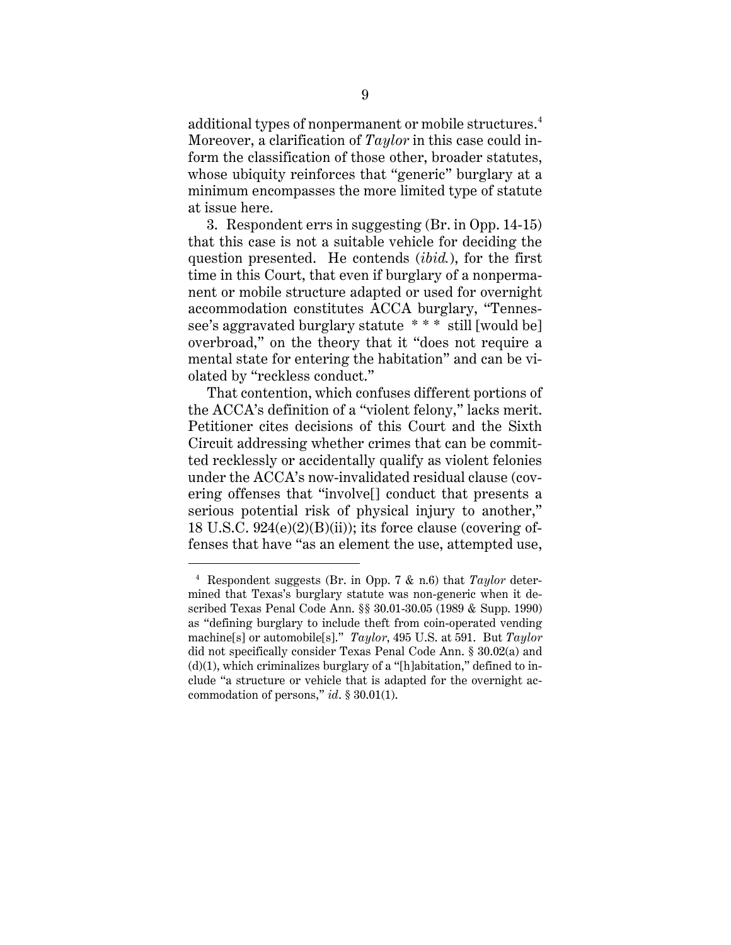additional types of nonpermanent or mobile structures. $^4$ Moreover, a clarification of *Taylor* in this case could inform the classification of those other, broader statutes, whose ubiquity reinforces that "generic" burglary at a minimum encompasses the more limited type of statute at issue here.

3. Respondent errs in suggesting (Br. in Opp. 14-15) that this case is not a suitable vehicle for deciding the question presented. He contends (*ibid.*), for the first time in this Court, that even if burglary of a nonpermanent or mobile structure adapted or used for overnight accommodation constitutes ACCA burglary, "Tennessee's aggravated burglary statute \* \* \* still [would be] overbroad," on the theory that it "does not require a mental state for entering the habitation" and can be violated by "reckless conduct."

That contention, which confuses different portions of the ACCA's definition of a "violent felony," lacks merit. Petitioner cites decisions of this Court and the Sixth Circuit addressing whether crimes that can be committed recklessly or accidentally qualify as violent felonies under the ACCA's now-invalidated residual clause (covering offenses that "involve[] conduct that presents a serious potential risk of physical injury to another," 18 U.S.C.  $924(e)(2)(B)(ii)$ ; its force clause (covering offenses that have "as an element the use, attempted use,

<sup>4</sup> Respondent suggests (Br. in Opp. 7 & n.6) that *Taylor* determined that Texas's burglary statute was non-generic when it described Texas Penal Code Ann. §§ 30.01-30.05 (1989 & Supp. 1990) as "defining burglary to include theft from coin-operated vending machine[s] or automobile[s]." *Taylor*, 495 U.S. at 591. But *Taylor* did not specifically consider Texas Penal Code Ann. § 30.02(a) and  $(d)(1)$ , which criminalizes burglary of a "[h]abitation," defined to include "a structure or vehicle that is adapted for the overnight accommodation of persons," *id*. § 30.01(1).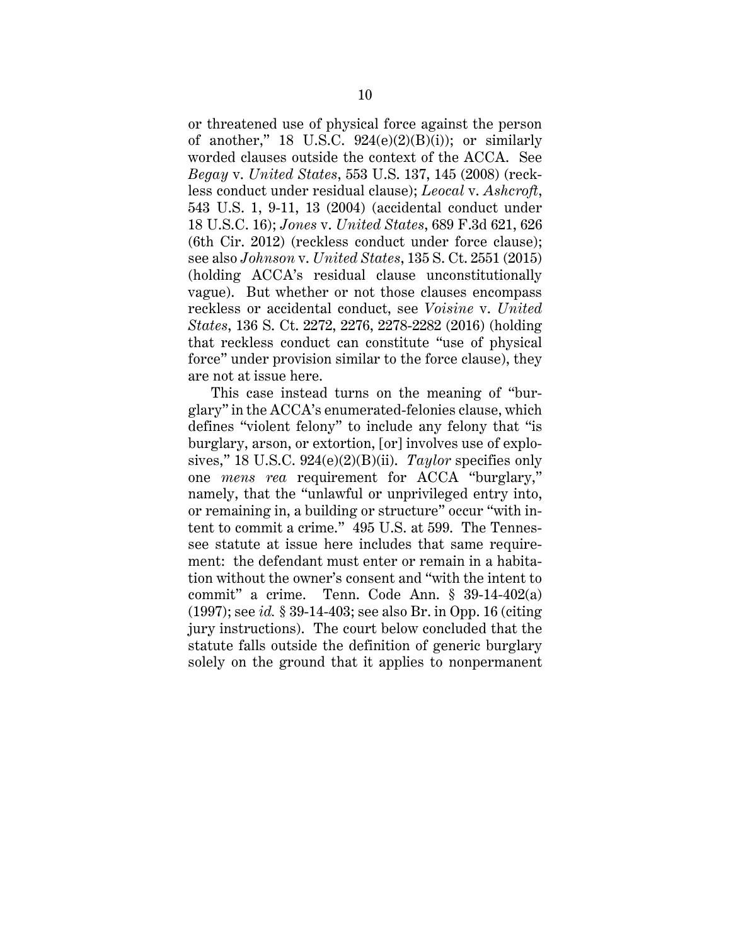or threatened use of physical force against the person of another," 18 U.S.C.  $924(e)(2)(B)(i)$ ; or similarly worded clauses outside the context of the ACCA. See *Begay* v. *United States*, 553 U.S. 137, 145 (2008) (reckless conduct under residual clause); *Leocal* v. *Ashcroft*, 543 U.S. 1, 9-11, 13 (2004) (accidental conduct under 18 U.S.C. 16); *Jones* v. *United States*, 689 F.3d 621, 626 (6th Cir. 2012) (reckless conduct under force clause); see also *Johnson* v. *United States*, 135 S. Ct. 2551 (2015) (holding ACCA's residual clause unconstitutionally vague). But whether or not those clauses encompass reckless or accidental conduct, see *Voisine* v. *United States*, 136 S. Ct. 2272, 2276, 2278-2282 (2016) (holding that reckless conduct can constitute "use of physical force" under provision similar to the force clause), they are not at issue here.

This case instead turns on the meaning of "burglary" in the ACCA's enumerated-felonies clause, which defines "violent felony" to include any felony that "is burglary, arson, or extortion, [or] involves use of explosives," 18 U.S.C. 924(e)(2)(B)(ii). *Taylor* specifies only one *mens rea* requirement for ACCA "burglary," namely, that the "unlawful or unprivileged entry into, or remaining in, a building or structure" occur "with intent to commit a crime." 495 U.S. at 599. The Tennessee statute at issue here includes that same requirement: the defendant must enter or remain in a habitation without the owner's consent and "with the intent to commit" a crime. Tenn. Code Ann. § 39-14-402(a) (1997); see *id.* § 39-14-403; see also Br. in Opp. 16 (citing jury instructions). The court below concluded that the statute falls outside the definition of generic burglary solely on the ground that it applies to nonpermanent